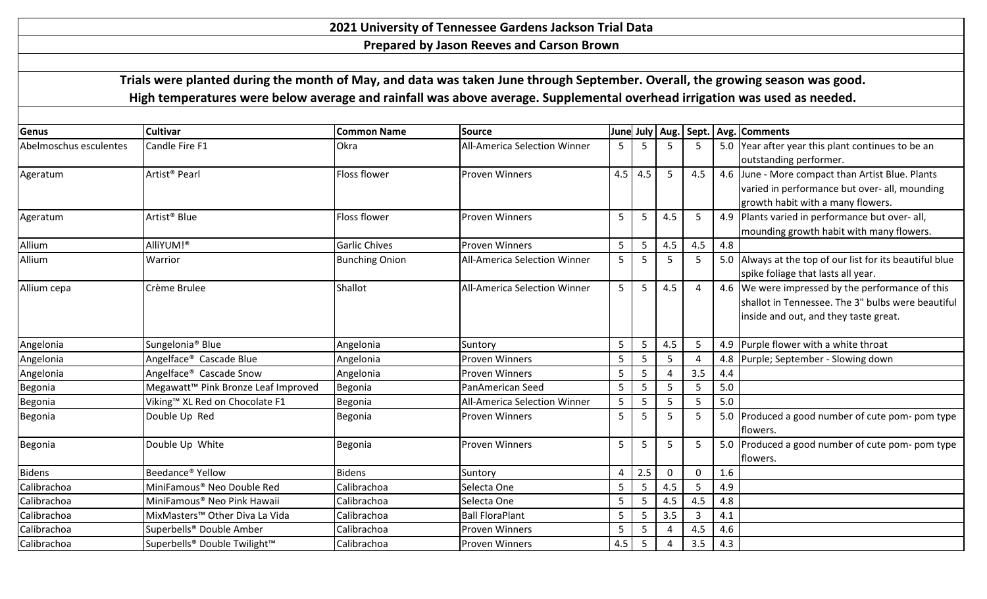## **2021 University of Tennessee Gardens Jackson Trial Data**

**Prepared by Jason Reeves and Carson Brown**

 **Trials were planted during the month of May, and data was taken June through September. Overall, the growing season was good. High temperatures were below average and rainfall was above average. Supplemental overhead irrigation was used as needed.**

| Genus                  | <b>Cultivar</b>                                 | <b>Common Name</b>    | Source                              | June |     |                |                |     | July   Aug.   Sept.   Avg.   Comments                    |
|------------------------|-------------------------------------------------|-----------------------|-------------------------------------|------|-----|----------------|----------------|-----|----------------------------------------------------------|
| Abelmoschus esculentes | Candle Fire F1                                  | Okra                  | <b>All-America Selection Winner</b> | 5    |     |                | 5              |     | 5.0 Year after year this plant continues to be an        |
|                        |                                                 |                       |                                     |      |     |                |                |     | outstanding performer.                                   |
| Ageratum               | Artist <sup>®</sup> Pearl                       | Floss flower          | <b>Proven Winners</b>               | 4.5  | 4.5 | 5              | 4.5            |     | 4.6 June - More compact than Artist Blue. Plants         |
|                        |                                                 |                       |                                     |      |     |                |                |     | varied in performance but over- all, mounding            |
|                        |                                                 |                       |                                     |      |     |                |                |     | growth habit with a many flowers.                        |
| Ageratum               | Artist <sup>®</sup> Blue                        | Floss flower          | <b>Proven Winners</b>               | 5    | -5  | 4.5            | 5              |     | 4.9 Plants varied in performance but over- all,          |
|                        |                                                 |                       |                                     |      |     |                |                |     | mounding growth habit with many flowers.                 |
| Allium                 | AlliYUM!®                                       | <b>Garlic Chives</b>  | <b>Proven Winners</b>               | 5    | 5   | 4.5            | 4.5            | 4.8 |                                                          |
| Allium                 | <b>Warrior</b>                                  | <b>Bunching Onion</b> | <b>All-America Selection Winner</b> | 5    | -5  | 5              | -5             |     | 5.0 Always at the top of our list for its beautiful blue |
|                        |                                                 |                       |                                     |      |     |                |                |     | spike foliage that lasts all year.                       |
| Allium cepa            | Crème Brulee                                    | Shallot               | <b>All-America Selection Winner</b> | 5    | 5   | 4.5            | $\overline{4}$ |     | 4.6 We were impressed by the performance of this         |
|                        |                                                 |                       |                                     |      |     |                |                |     | shallot in Tennessee. The 3" bulbs were beautiful        |
|                        |                                                 |                       |                                     |      |     |                |                |     | inside and out, and they taste great.                    |
| Angelonia              | Sungelonia <sup>®</sup> Blue                    | Angelonia             | Suntory                             | 5    | 5   | 4.5            | 5              |     | 4.9 Purple flower with a white throat                    |
| Angelonia              | Angelface <sup>®</sup> Cascade Blue             | Angelonia             | <b>Proven Winners</b>               | 5    |     | 5              |                |     | 4.8 Purple; September - Slowing down                     |
| Angelonia              | Angelface <sup>®</sup> Cascade Snow             | Angelonia             | <b>Proven Winners</b>               | 5    | 5   | $\overline{A}$ | 3.5            | 4.4 |                                                          |
| Begonia                | Megawatt <sup>™</sup> Pink Bronze Leaf Improved | Begonia               | PanAmerican Seed                    | 5    | 5   | 5              | 5              | 5.0 |                                                          |
| Begonia                | Viking™ XL Red on Chocolate F1                  | Begonia               | <b>All-America Selection Winner</b> | 5    | 5   | 5              | .5             | 5.0 |                                                          |
| Begonia                | Double Up Red                                   | Begonia               | <b>Proven Winners</b>               | 5    | .5  | 5              | -5             |     | 5.0 Produced a good number of cute pom- pom type         |
|                        |                                                 |                       |                                     |      |     |                |                |     | flowers.                                                 |
| Begonia                | Double Up White                                 | Begonia               | <b>Proven Winners</b>               | 5    | 5   | 5              | -5             |     | 5.0 Produced a good number of cute pom- pom type         |
|                        |                                                 |                       |                                     |      |     |                |                |     | flowers.                                                 |
| <b>Bidens</b>          | Beedance <sup>®</sup> Yellow                    | <b>Bidens</b>         | Suntory                             | 4    | 2.5 | $\mathbf 0$    | $\Omega$       | 1.6 |                                                          |
| Calibrachoa            | MiniFamous <sup>®</sup> Neo Double Red          | Calibrachoa           | Selecta One                         | 5    | -5  | 4.5            | 5              | 4.9 |                                                          |
| Calibrachoa            | MiniFamous <sup>®</sup> Neo Pink Hawaii         | Calibrachoa           | Selecta One                         | 5    | 5   | 4.5            | 4.5            | 4.8 |                                                          |
| Calibrachoa            | MixMasters <sup>™</sup> Other Diva La Vida      | Calibrachoa           | <b>Ball FloraPlant</b>              | 5    | -5  | 3.5            | 3              | 4.1 |                                                          |
| Calibrachoa            | Superbells® Double Amber                        | Calibrachoa           | <b>Proven Winners</b>               | 5    | 5   | $\overline{a}$ | 4.5            | 4.6 |                                                          |
| Calibrachoa            | Superbells® Double Twilight™                    | Calibrachoa           | <b>Proven Winners</b>               | 4.5  | 5   | $\overline{a}$ | 3.5            | 4.3 |                                                          |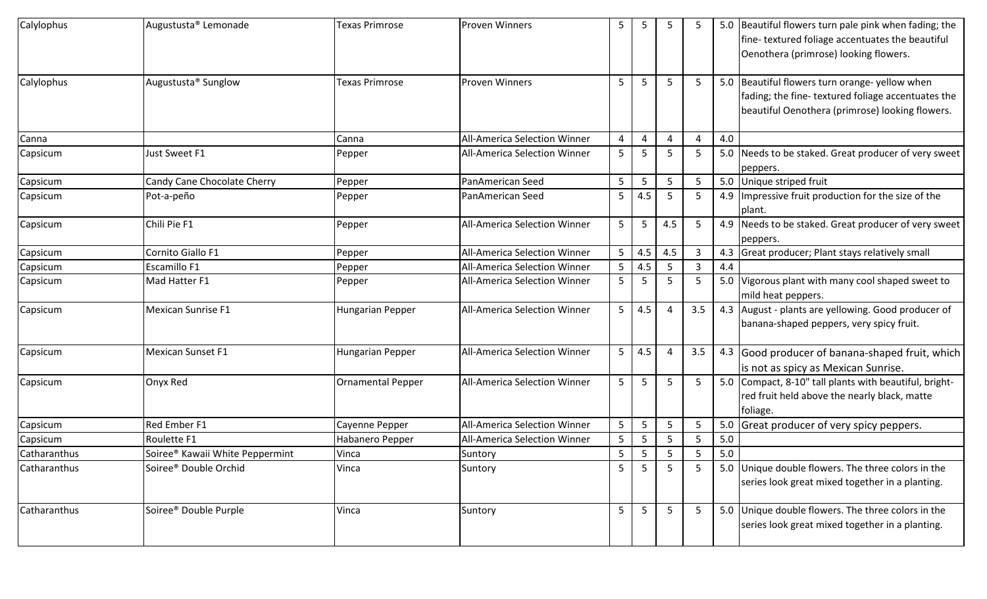| Calylophus   | Augustusta <sup>®</sup> Lemonade            | <b>Texas Primrose</b>    | <b>Proven Winners</b>               | 5              | 5              | 5              |                          |     | 5.0 Beautiful flowers turn pale pink when fading; the<br>fine-textured foliage accentuates the beautiful<br>Oenothera (primrose) looking flowers.      |
|--------------|---------------------------------------------|--------------------------|-------------------------------------|----------------|----------------|----------------|--------------------------|-----|--------------------------------------------------------------------------------------------------------------------------------------------------------|
| Calylophus   | Augustusta <sup>®</sup> Sunglow             | Texas Primrose           | <b>Proven Winners</b>               | 5              | 5              | 5              | -5                       |     | 5.0 Beautiful flowers turn orange- yellow when<br>fading; the fine-textured foliage accentuates the<br>beautiful Oenothera (primrose) looking flowers. |
| Canna        |                                             | Canna                    | <b>All-America Selection Winner</b> | 4              | $\overline{4}$ | Δ              | $\overline{\phantom{a}}$ | 4.0 |                                                                                                                                                        |
| Capsicum     | Just Sweet F1                               | Pepper                   | All-America Selection Winner        | 5              | -5             | -5             |                          |     | 5.0 Needs to be staked. Great producer of very sweet<br>peppers.                                                                                       |
| Capsicum     | Candy Cane Chocolate Cherry                 | Pepper                   | PanAmerican Seed                    | 5              | 5              | 5              | 5                        |     | 5.0 Unique striped fruit                                                                                                                               |
| Capsicum     | Pot-a-peño                                  | Pepper                   | PanAmerican Seed                    | 5              | 4.5            | -5             | 5                        |     | 4.9   Impressive fruit production for the size of the<br>plant.                                                                                        |
| Capsicum     | Chili Pie F1                                | Pepper                   | All-America Selection Winner        | 5              | 5              | 4.5            | -5                       |     | 4.9 Needs to be staked. Great producer of very sweet<br>peppers.                                                                                       |
| Capsicum     | Cornito Giallo F1                           | Pepper                   | <b>All-America Selection Winner</b> | 5              | 4.5            | 4.5            | 3                        |     | 4.3 Great producer; Plant stays relatively small                                                                                                       |
| Capsicum     | Escamillo F1                                | Pepper                   | All-America Selection Winner        | 5              | 4.5            | 5              | 3                        | 4.4 |                                                                                                                                                        |
| Capsicum     | Mad Hatter F1                               | Pepper                   | All-America Selection Winner        | 5              | -5             | 5              | 5                        |     | 5.0 Vigorous plant with many cool shaped sweet to<br>mild heat peppers.                                                                                |
| Capsicum     | Mexican Sunrise F1                          | Hungarian Pepper         | All-America Selection Winner        | 5 <sub>1</sub> | 4.5            | $\overline{4}$ | 3.5                      |     | 4.3 August - plants are yellowing. Good producer of<br>banana-shaped peppers, very spicy fruit.                                                        |
| Capsicum     | Mexican Sunset F1                           | Hungarian Pepper         | All-America Selection Winner        | 5 <sub>1</sub> | 4.5            | $\overline{4}$ | 3.5                      |     | 4.3 Good producer of banana-shaped fruit, which<br>is not as spicy as Mexican Sunrise.                                                                 |
| Capsicum     | Onyx Red                                    | <b>Ornamental Pepper</b> | All-America Selection Winner        | 5              | 5              | 5              | -5                       |     | 5.0 Compact, 8-10" tall plants with beautiful, bright-<br>red fruit held above the nearly black, matte<br>foliage.                                     |
| Capsicum     | <b>Red Ember F1</b>                         | Cayenne Pepper           | All-America Selection Winner        | 5              | 5              | 5              | 5                        |     | 5.0 Great producer of very spicy peppers.                                                                                                              |
| Capsicum     | Roulette F1                                 | Habanero Pepper          | All-America Selection Winner        | 5              | 5              | 5              | 5                        | 5.0 |                                                                                                                                                        |
| Catharanthus | Soiree <sup>®</sup> Kawaii White Peppermint | Vinca                    | Suntory                             | 5              | 5              | 5              | 5                        | 5.0 |                                                                                                                                                        |
| Catharanthus | Soiree <sup>®</sup> Double Orchid           | Vinca                    | Suntory                             | 5              | 5              | 5              |                          |     | 5.0 Unique double flowers. The three colors in the<br>series look great mixed together in a planting.                                                  |
| Catharanthus | Soiree <sup>®</sup> Double Purple           | Vinca                    | Suntory                             | 5              | 5              | -5             | 5                        |     | 5.0 Unique double flowers. The three colors in the<br>series look great mixed together in a planting.                                                  |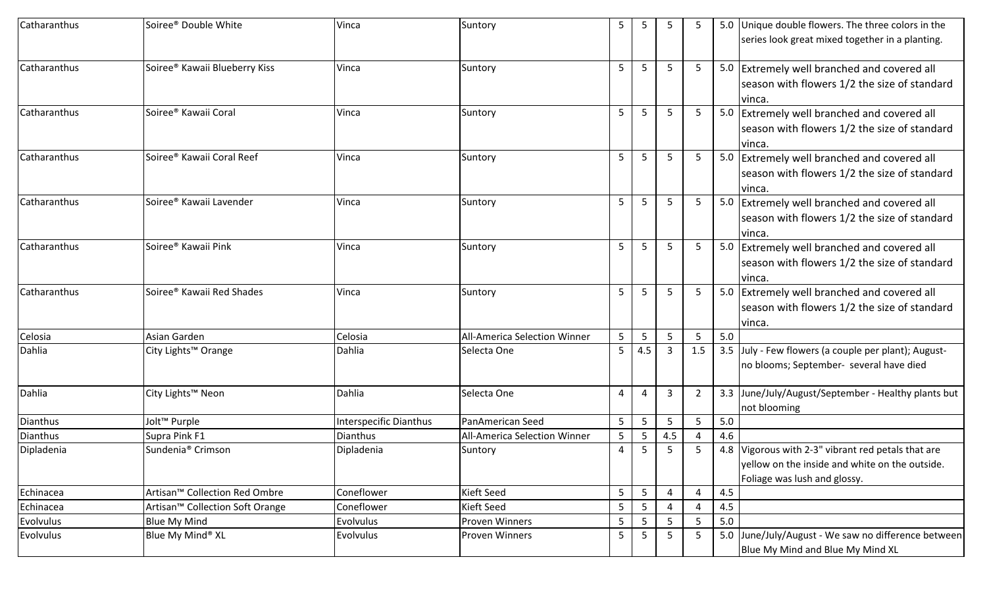| Catharanthus | Soiree <sup>®</sup> Double White            | Vinca                  | Suntory                             | 5              | 5   | 5   |     |     | 5.0 Unique double flowers. The three colors in the   |
|--------------|---------------------------------------------|------------------------|-------------------------------------|----------------|-----|-----|-----|-----|------------------------------------------------------|
|              |                                             |                        |                                     |                |     |     |     |     | series look great mixed together in a planting.      |
| Catharanthus | Soiree <sup>®</sup> Kawaii Blueberry Kiss   | Vinca                  | Suntory                             | 5              | 5   | 5   | 5   |     | 5.0 Extremely well branched and covered all          |
|              |                                             |                        |                                     |                |     |     |     |     | season with flowers 1/2 the size of standard         |
|              |                                             |                        |                                     |                |     |     |     |     | vinca.                                               |
| Catharanthus | Soiree <sup>®</sup> Kawaii Coral            | Vinca                  | Suntory                             | 5              | 5   | 5   | 5   |     | 5.0 Extremely well branched and covered all          |
|              |                                             |                        |                                     |                |     |     |     |     | season with flowers 1/2 the size of standard         |
|              |                                             |                        |                                     |                |     |     |     |     | lvinca.                                              |
| Catharanthus | Soiree <sup>®</sup> Kawaii Coral Reef       | Vinca                  | Suntory                             | 5              | 5   | 5   | 5   |     | 5.0 Extremely well branched and covered all          |
|              |                                             |                        |                                     |                |     |     |     |     | season with flowers 1/2 the size of standard         |
|              |                                             |                        |                                     |                |     |     |     |     | vinca.                                               |
| Catharanthus | Soiree <sup>®</sup> Kawaii Lavender         | Vinca                  | Suntory                             | 5              |     | 5   | 5   |     | 5.0 Extremely well branched and covered all          |
|              |                                             |                        |                                     |                |     |     |     |     | season with flowers 1/2 the size of standard         |
|              |                                             |                        |                                     |                |     |     |     |     | vinca.                                               |
| Catharanthus | Soiree <sup>®</sup> Kawaii Pink             | Vinca                  | Suntory                             | 5              | 5   | 5   | 5   |     | 5.0 Extremely well branched and covered all          |
|              |                                             |                        |                                     |                |     |     |     |     | season with flowers 1/2 the size of standard         |
|              |                                             |                        |                                     |                |     |     |     |     | vinca.                                               |
| Catharanthus | Soiree <sup>®</sup> Kawaii Red Shades       | Vinca                  | Suntory                             | 5              | 5   | 5   | 5   |     | 5.0 Extremely well branched and covered all          |
|              |                                             |                        |                                     |                |     |     |     |     | season with flowers 1/2 the size of standard         |
|              |                                             |                        |                                     |                |     |     |     |     | vinca.                                               |
| Celosia      | Asian Garden                                | Celosia                | <b>All-America Selection Winner</b> | 5              | 5   | 5   |     | 5.0 |                                                      |
| Dahlia       | City Lights™ Orange                         | Dahlia                 | Selecta One                         | 5              | 4.5 | 3   | 1.5 |     | 3.5 July - Few flowers (a couple per plant); August- |
|              |                                             |                        |                                     |                |     |     |     |     | no blooms; September- several have died              |
|              |                                             |                        |                                     |                |     |     |     |     |                                                      |
| Dahlia       | City Lights™ Neon                           | Dahlia                 | Selecta One                         | $\overline{4}$ | 4   | 3   | 2   |     | 3.3 June/July/August/September - Healthy plants but  |
|              |                                             |                        |                                     |                |     |     |     |     | not blooming                                         |
| Dianthus     | Jolt <sup>™</sup> Purple                    | Interspecific Dianthus | PanAmerican Seed                    | 5              | 5   | 5   | 5   | 5.0 |                                                      |
| Dianthus     | Supra Pink F1                               | Dianthus               | All-America Selection Winner        | 5              | 5   | 4.5 |     | 4.6 |                                                      |
| Dipladenia   | Sundenia <sup>®</sup> Crimson               | Dipladenia             | Suntory                             | 4              | 5   | 5   | 5   |     | 4.8 Vigorous with 2-3" vibrant red petals that are   |
|              |                                             |                        |                                     |                |     |     |     |     | yellow on the inside and white on the outside.       |
|              |                                             |                        |                                     |                |     |     |     |     | Foliage was lush and glossy.                         |
| Echinacea    | Artisan™ Collection Red Ombre               | Coneflower             | <b>Kieft Seed</b>                   | 5              | 5   |     |     | 4.5 |                                                      |
| Echinacea    | Artisan <sup>™</sup> Collection Soft Orange | Coneflower             | Kieft Seed                          | 5              | 5   |     |     | 4.5 |                                                      |
| Evolvulus    | <b>Blue My Mind</b>                         | Evolvulus              | Proven Winners                      | 5              | 5   | 5   | 5   | 5.0 |                                                      |
| Evolvulus    | Blue My Mind® XL                            | Evolvulus              | Proven Winners                      | 5              | 5   | 5   | 5   |     | 5.0 June/July/August - We saw no difference between  |
|              |                                             |                        |                                     |                |     |     |     |     | Blue My Mind and Blue My Mind XL                     |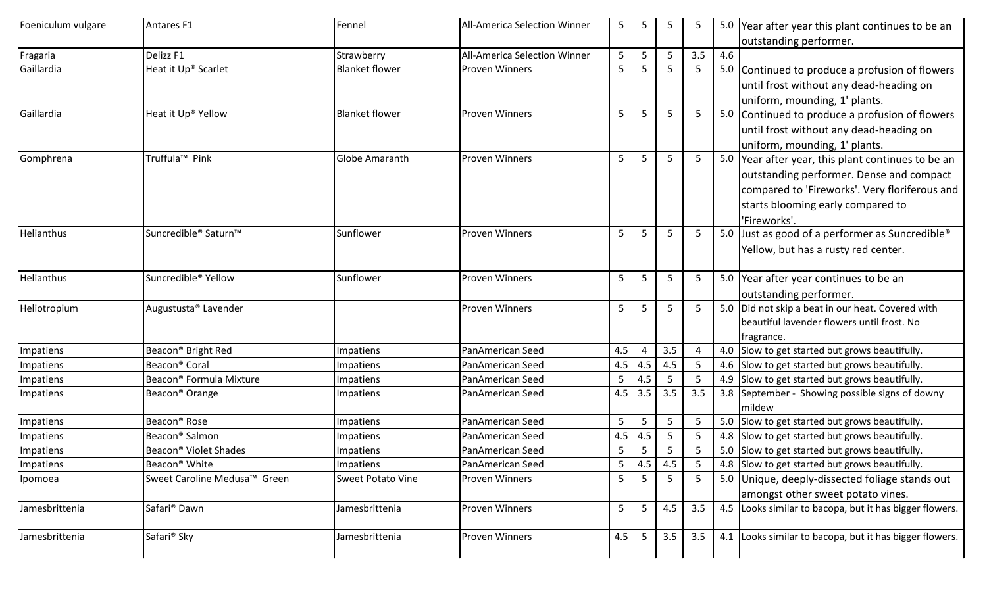| Foeniculum vulgare | Antares <sub>F1</sub>               | Fennel                   | <b>All-America Selection Winner</b> | 5              | 5              | 5               | 5.             |     | 5.0 Year after year this plant continues to be an                                            |
|--------------------|-------------------------------------|--------------------------|-------------------------------------|----------------|----------------|-----------------|----------------|-----|----------------------------------------------------------------------------------------------|
|                    |                                     |                          |                                     |                |                |                 |                |     | outstanding performer.                                                                       |
| Fragaria           | Delizz <sub>F1</sub>                | Strawberry               | All-America Selection Winner        | 5              | .5             | 5               | 3.5            | 4.6 |                                                                                              |
| Gaillardia         | Heat it Up® Scarlet                 | <b>Blanket flower</b>    | <b>Proven Winners</b>               | 5              | -5             | 5               | 5              |     | 5.0 Continued to produce a profusion of flowers                                              |
|                    |                                     |                          |                                     |                |                |                 |                |     | until frost without any dead-heading on                                                      |
|                    |                                     |                          |                                     |                |                |                 |                |     | uniform, mounding, 1' plants.                                                                |
| Gaillardia         | Heat it Up® Yellow                  | <b>Blanket flower</b>    | <b>Proven Winners</b>               | 5              | 5              | 5               | 5 <sub>1</sub> |     | 5.0 Continued to produce a profusion of flowers                                              |
|                    |                                     |                          |                                     |                |                |                 |                |     | until frost without any dead-heading on                                                      |
|                    |                                     |                          |                                     |                |                |                 |                |     | uniform, mounding, 1' plants.                                                                |
| Gomphrena          | Truffula <sup>™</sup> Pink          | <b>Globe Amaranth</b>    | <b>Proven Winners</b>               | 5              | 5              | 5               | 5 <sub>1</sub> |     | 5.0 Year after year, this plant continues to be an                                           |
|                    |                                     |                          |                                     |                |                |                 |                |     | outstanding performer. Dense and compact                                                     |
|                    |                                     |                          |                                     |                |                |                 |                |     | compared to 'Fireworks'. Very floriferous and                                                |
|                    |                                     |                          |                                     |                |                |                 |                |     | starts blooming early compared to                                                            |
|                    |                                     |                          |                                     |                |                |                 |                |     | 'Fireworks'.                                                                                 |
| <b>Helianthus</b>  | Suncredible <sup>®</sup> Saturn™    | Sunflower                | <b>Proven Winners</b>               | 5              | -5             | 5               | 5              |     | 5.0 Just as good of a performer as Suncredible <sup>®</sup>                                  |
|                    |                                     |                          |                                     |                |                |                 |                |     | Yellow, but has a rusty red center.                                                          |
| Helianthus         | Suncredible <sup>®</sup> Yellow     | Sunflower                | <b>Proven Winners</b>               | 5              | -5             | 5               | 5              |     | 5.0 Year after year continues to be an                                                       |
|                    |                                     |                          |                                     |                |                |                 |                |     | outstanding performer.                                                                       |
| Heliotropium       | Augustusta® Lavender                |                          | <b>Proven Winners</b>               | 5              | 5              | 5               | 5 <sup>1</sup> |     | 5.0 Did not skip a beat in our heat. Covered with                                            |
|                    |                                     |                          |                                     |                |                |                 |                |     | beautiful lavender flowers until frost. No                                                   |
|                    |                                     |                          |                                     |                |                |                 |                |     | fragrance.                                                                                   |
| Impatiens          | Beacon <sup>®</sup> Bright Red      | Impatiens                | PanAmerican Seed                    | 4.5            |                | 3.5             | $\overline{4}$ |     | 4.0 Slow to get started but grows beautifully.                                               |
| Impatiens          | Beacon <sup>®</sup> Coral           | <b>Impatiens</b>         | PanAmerican Seed                    | 4.5            | 4.5            | 4.5             | 5              |     | 4.6 Slow to get started but grows beautifully.                                               |
| Impatiens          | Beacon <sup>®</sup> Formula Mixture | Impatiens                | PanAmerican Seed                    | 5              | 4.5            | 5               | 5              |     | 4.9 Slow to get started but grows beautifully.                                               |
| Impatiens          | Beacon <sup>®</sup> Orange          | Impatiens                | PanAmerican Seed                    | 4.5            | 3.5            | 3.5             | 3.5            |     | 3.8 September - Showing possible signs of downy<br>mildew                                    |
| Impatiens          | Beacon <sup>®</sup> Rose            | <b>Impatiens</b>         | PanAmerican Seed                    | 5              | -5             | 5               | 5              |     | 5.0 Slow to get started but grows beautifully.                                               |
| Impatiens          | Beacon <sup>®</sup> Salmon          | <b>Impatiens</b>         | PanAmerican Seed                    | 4.5            | 4.5            | 5               | 5              |     | 4.8 Slow to get started but grows beautifully.                                               |
| Impatiens          | Beacon <sup>®</sup> Violet Shades   | Impatiens                | PanAmerican Seed                    | 5              | 5              | 5               | 5              |     | 5.0 Slow to get started but grows beautifully.                                               |
| Impatiens          | Beacon <sup>®</sup> White           | Impatiens                | PanAmerican Seed                    | 5 <sub>1</sub> | 4.5            | 4.5             | 5              |     | 4.8 Slow to get started but grows beautifully.                                               |
| Ipomoea            | Sweet Caroline Medusa™ Green        | <b>Sweet Potato Vine</b> | <b>Proven Winners</b>               | 5 <sup>1</sup> | 5 <sup>5</sup> | $5\overline{)}$ | 5 <sub>1</sub> |     | 5.0 Unique, deeply-dissected foliage stands out                                              |
|                    | Safari <sup>®</sup> Dawn            |                          |                                     |                |                |                 |                |     | amongst other sweet potato vines.<br>4.5 Looks similar to bacopa, but it has bigger flowers. |
| Jamesbrittenia     |                                     | Jamesbrittenia           | Proven Winners                      | 5 <sub>1</sub> | 5              | 4.5             | 3.5            |     |                                                                                              |
| Jamesbrittenia     | Safari <sup>®</sup> Sky             | Jamesbrittenia           | <b>Proven Winners</b>               | 4.5            | $5\phantom{.}$ | 3.5             | 3.5            |     | 4.1 Looks similar to bacopa, but it has bigger flowers.                                      |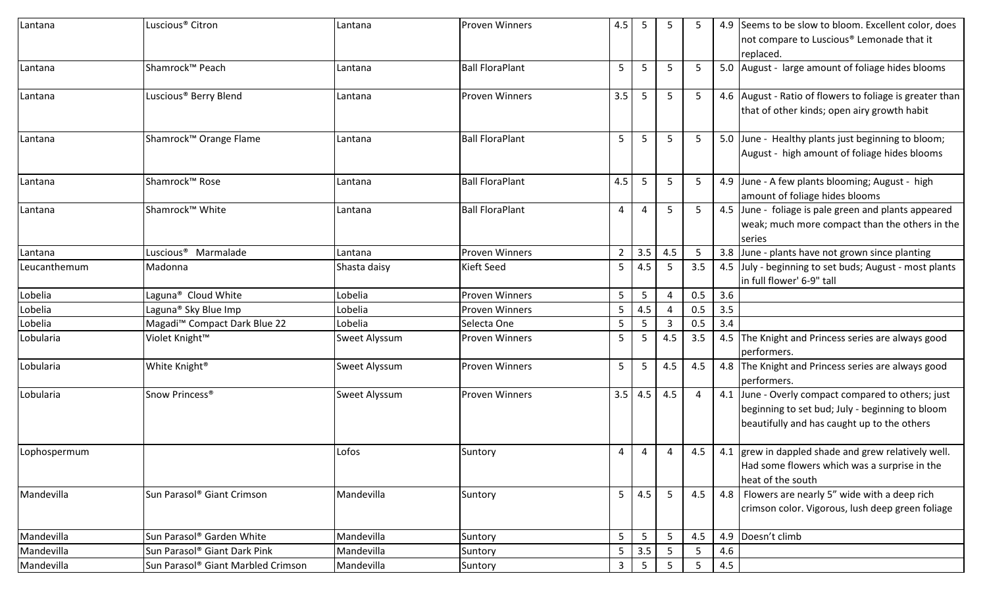| Lantana      | Luscious <sup>®</sup> Citron             | Lantana       | <b>Proven Winners</b>  | 4.5            | 5               |     |     |     | 4.9 Seems to be slow to bloom. Excellent color, does<br>not compare to Luscious <sup>®</sup> Lemonade that it<br>replaced.                           |
|--------------|------------------------------------------|---------------|------------------------|----------------|-----------------|-----|-----|-----|------------------------------------------------------------------------------------------------------------------------------------------------------|
| Lantana      | Shamrock™ Peach                          | Lantana       | <b>Ball FloraPlant</b> | 5              | 5               | 5   |     |     | 5.0 August - large amount of foliage hides blooms                                                                                                    |
| Lantana      | Luscious <sup>®</sup> Berry Blend        | Lantana       | <b>Proven Winners</b>  | 3.5            | 5               | 5   |     |     | 4.6 August - Ratio of flowers to foliage is greater than<br>that of other kinds; open airy growth habit                                              |
| Lantana      | Shamrock™ Orange Flame                   | Lantana       | <b>Ball FloraPlant</b> | 5              | 5               | 5   | 5   |     | 5.0 June - Healthy plants just beginning to bloom;<br>August - high amount of foliage hides blooms                                                   |
| Lantana      | Shamrock™ Rose                           | Lantana       | <b>Ball FloraPlant</b> | 4.5            | 5               | 5   |     |     | 4.9 June - A few plants blooming; August - high<br>amount of foliage hides blooms                                                                    |
| Lantana      | Shamrock™ White                          | Lantana       | <b>Ball FloraPlant</b> | 4              | 4               | 5   | 5   |     | 4.5 June - foliage is pale green and plants appeared<br>weak; much more compact than the others in the<br>series                                     |
| Lantana      | Luscious <sup>®</sup> Marmalade          | Lantana       | <b>Proven Winners</b>  | $\overline{2}$ | 3.5             | 4.5 |     |     | 3.8 June - plants have not grown since planting                                                                                                      |
| Leucanthemum | Madonna                                  | Shasta daisy  | Kieft Seed             | 5              | 4.5             | 5   | 3.5 |     | 4.5 July - beginning to set buds; August - most plants<br>in full flower' 6-9" tall                                                                  |
| Lobelia      | Laguna <sup>®</sup> Cloud White          | Lobelia       | <b>Proven Winners</b>  | 5              | 5               |     | 0.5 | 3.6 |                                                                                                                                                      |
| Lobelia      | Laguna <sup>®</sup> Sky Blue Imp         | Lobelia       | <b>Proven Winners</b>  | 5              | 4.5             | Δ   | 0.5 | 3.5 |                                                                                                                                                      |
| Lobelia      | Magadi <sup>™</sup> Compact Dark Blue 22 | Lobelia       | Selecta One            | 5              | 5               |     | 0.5 | 3.4 |                                                                                                                                                      |
| Lobularia    | Violet Knight™                           | Sweet Alyssum | <b>Proven Winners</b>  | 5              | 5               | 4.5 | 3.5 |     | 4.5 The Knight and Princess series are always good<br>performers.                                                                                    |
| Lobularia    | White Knight <sup>®</sup>                | Sweet Alyssum | <b>Proven Winners</b>  | 5              | 5               | 4.5 | 4.5 |     | 4.8 The Knight and Princess series are always good<br>performers.                                                                                    |
| Lobularia    | Snow Princess®                           | Sweet Alyssum | <b>Proven Winners</b>  | 3.5            | 4.5             | 4.5 | 4   |     | 4.1 June - Overly compact compared to others; just<br>beginning to set bud; July - beginning to bloom<br>beautifully and has caught up to the others |
| Lophospermum |                                          | Lofos         | Suntory                | $\overline{4}$ | 4               | 4   | 4.5 |     | 4.1 grew in dappled shade and grew relatively well.<br>Had some flowers which was a surprise in the<br>heat of the south                             |
| Mandevilla   | Sun Parasol® Giant Crimson               | Mandevilla    | Suntory                | 5 <sup>1</sup> | 4.5             | 5   | 4.5 |     | 4.8 Flowers are nearly 5" wide with a deep rich<br>crimson color. Vigorous, lush deep green foliage                                                  |
| Mandevilla   | Sun Parasol® Garden White                | Mandevilla    | Suntory                | 5              | 5               | 5   | 4.5 |     | 4.9 Doesn't climb                                                                                                                                    |
| Mandevilla   | Sun Parasol® Giant Dark Pink             | Mandevilla    | Suntory                | 5 <sub>1</sub> | 3.5             | 5   | 5   | 4.6 |                                                                                                                                                      |
| Mandevilla   | Sun Parasol® Giant Marbled Crimson       | Mandevilla    | Suntory                | $\mathbf{3}$   | $5\phantom{.0}$ | 5   | 5   | 4.5 |                                                                                                                                                      |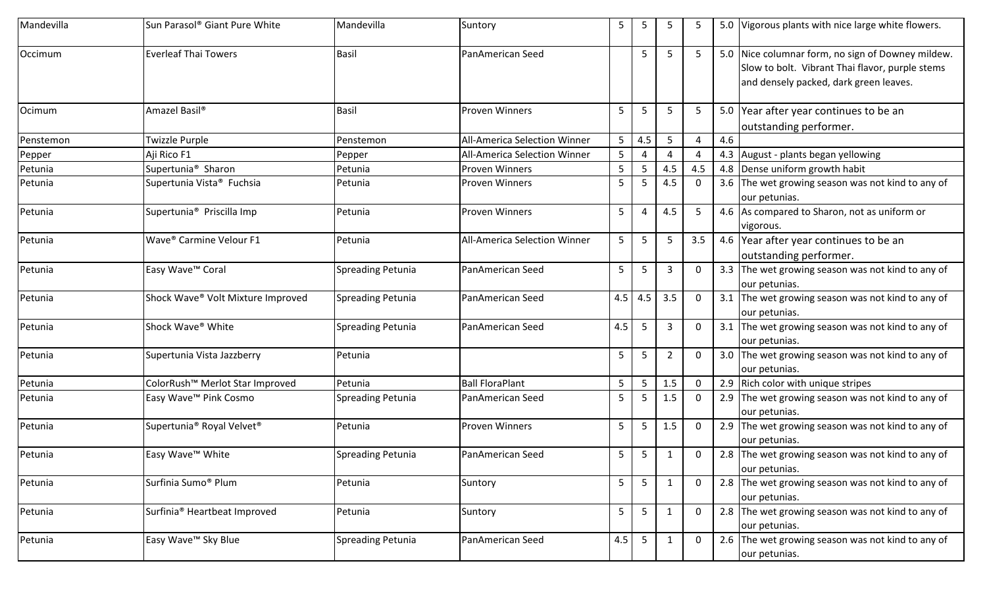| Mandevilla | Sun Parasol® Giant Pure White                     | Mandevilla               | Suntory                             | 5           | 5   | 5              |             |     | 5.0 Vigorous plants with nice large white flowers.                                                                                             |
|------------|---------------------------------------------------|--------------------------|-------------------------------------|-------------|-----|----------------|-------------|-----|------------------------------------------------------------------------------------------------------------------------------------------------|
| Occimum    | <b>Everleaf Thai Towers</b>                       | <b>Basil</b>             | PanAmerican Seed                    |             | 5   | 5              | -5          |     | 5.0 Nice columnar form, no sign of Downey mildew.<br>Slow to bolt. Vibrant Thai flavor, purple stems<br>and densely packed, dark green leaves. |
| Ocimum     | Amazel Basil <sup>®</sup>                         | Basil                    | <b>Proven Winners</b>               | 5           | 5   | 5              | 5           |     | 5.0 Year after year continues to be an<br>outstanding performer.                                                                               |
| Penstemon  | Twizzle Purple                                    | Penstemon                | <b>All-America Selection Winner</b> | 5           | 4.5 | 5              | Δ           | 4.6 |                                                                                                                                                |
| Pepper     | Aji Rico F1                                       | Pepper                   | All-America Selection Winner        | 5           |     |                |             |     | 4.3 August - plants began yellowing                                                                                                            |
| Petunia    | Supertunia <sup>®</sup> Sharon                    | Petunia                  | Proven Winners                      | 5           | 5   | 4.5            | 4.5         |     | 4.8 Dense uniform growth habit                                                                                                                 |
| Petunia    | Supertunia Vista <sup>®</sup> Fuchsia             | Petunia                  | Proven Winners                      | 5           | 5   | 4.5            | 0           |     | 3.6 The wet growing season was not kind to any of<br>our petunias.                                                                             |
| Petunia    | Supertunia <sup>®</sup> Priscilla Imp             | Petunia                  | <b>Proven Winners</b>               | 5           | 4   | 4.5            | -5          |     | 4.6 As compared to Sharon, not as uniform or<br>vigorous.                                                                                      |
| Petunia    | Wave <sup>®</sup> Carmine Velour F1               | Petunia                  | All-America Selection Winner        | 5           | 5   | 5              | 3.5         |     | 4.6 Year after year continues to be an<br>outstanding performer.                                                                               |
| Petunia    | Easy Wave <sup>™</sup> Coral                      | <b>Spreading Petunia</b> | PanAmerican Seed                    | 5           | 5   | 3              |             |     | 3.3 The wet growing season was not kind to any of<br>our petunias.                                                                             |
| Petunia    | Shock Wave® Volt Mixture Improved                 | <b>Spreading Petunia</b> | PanAmerican Seed                    | 4.5         | 4.5 | 3.5            | 0           |     | 3.1 The wet growing season was not kind to any of<br>our petunias.                                                                             |
| Petunia    | Shock Wave <sup>®</sup> White                     | <b>Spreading Petunia</b> | PanAmerican Seed                    | 4.5         | 5   | 3              | 0           |     | 3.1 The wet growing season was not kind to any of<br>our petunias.                                                                             |
| Petunia    | Supertunia Vista Jazzberry                        | Petunia                  |                                     | 5           | 5   | $\overline{2}$ | 0           |     | 3.0 The wet growing season was not kind to any of<br>our petunias.                                                                             |
| Petunia    | ColorRush <sup>™</sup> Merlot Star Improved       | Petunia                  | <b>Ball FloraPlant</b>              | 5           | 5   | 1.5            | 0           |     | 2.9 Rich color with unique stripes                                                                                                             |
| Petunia    | Easy Wave <sup>™</sup> Pink Cosmo                 | <b>Spreading Petunia</b> | PanAmerican Seed                    | 5           | 5   | 1.5            | 0           |     | 2.9 The wet growing season was not kind to any of<br>our petunias.                                                                             |
| Petunia    | Supertunia <sup>®</sup> Royal Velvet <sup>®</sup> | Petunia                  | Proven Winners                      | 5           | 5   | 1.5            | 0           |     | 2.9 The wet growing season was not kind to any of<br>our petunias.                                                                             |
| Petunia    | Easy Wave™ White                                  | <b>Spreading Petunia</b> | PanAmerican Seed                    | $5^{\circ}$ | 5   |                | 0           |     | 2.8 The wet growing season was not kind to any of<br>our petunias.                                                                             |
| Petunia    | Surfinia Sumo <sup>®</sup> Plum                   | Petunia                  | Suntory                             | 5           | 5   | $\mathbf{1}$   | 0           |     | 2.8 The wet growing season was not kind to any of<br>our petunias.                                                                             |
| Petunia    | Surfinia <sup>®</sup> Heartbeat Improved          | Petunia                  | Suntory                             | 5           | 5   | $\mathbf{1}$   | 0           |     | 2.8 The wet growing season was not kind to any of<br>our petunias.                                                                             |
| Petunia    | Easy Wave <sup>™</sup> Sky Blue                   | <b>Spreading Petunia</b> | PanAmerican Seed                    | 4.5         | 5   | 1              | $\mathbf 0$ |     | 2.6 The wet growing season was not kind to any of<br>our petunias.                                                                             |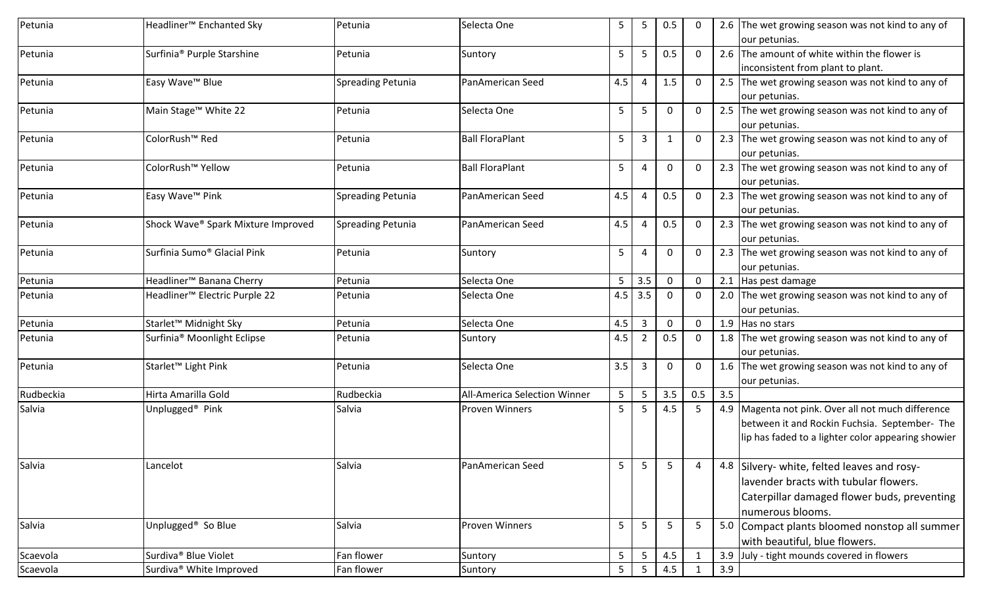| Petunia   | Headliner <sup>™</sup> Enchanted Sky      | Petunia                  | Selecta One                  | 5              | 5   | 0.5          |              |     | 2.6 The wet growing season was not kind to any of                  |
|-----------|-------------------------------------------|--------------------------|------------------------------|----------------|-----|--------------|--------------|-----|--------------------------------------------------------------------|
|           |                                           |                          |                              |                |     |              |              |     | our petunias.                                                      |
| Petunia   | Surfinia <sup>®</sup> Purple Starshine    | Petunia                  | Suntory                      | 5              | 5   | 0.5          | $\mathbf{0}$ |     | 2.6 The amount of white within the flower is                       |
|           |                                           |                          |                              |                |     |              |              |     | inconsistent from plant to plant.                                  |
| Petunia   | Easy Wave <sup>™</sup> Blue               | <b>Spreading Petunia</b> | PanAmerican Seed             | 4.5            | 4   | 1.5          | 0            |     | 2.5 The wet growing season was not kind to any of<br>our petunias. |
|           |                                           |                          |                              |                |     |              |              |     |                                                                    |
| Petunia   | Main Stage <sup>™</sup> White 22          | Petunia                  | Selecta One                  | 5              | 5   | 0            | 0            |     | 2.5 The wet growing season was not kind to any of<br>our petunias. |
| Petunia   | ColorRush <sup>™</sup> Red                | Petunia                  | <b>Ball FloraPlant</b>       | 5              | 3   | -1           | 0            |     | 2.3 The wet growing season was not kind to any of                  |
|           |                                           |                          |                              |                |     |              |              |     | our petunias.                                                      |
| Petunia   | ColorRush <sup>™</sup> Yellow             | Petunia                  | <b>Ball FloraPlant</b>       | 5              | 4   | 0            | 0            |     | 2.3 The wet growing season was not kind to any of                  |
|           |                                           |                          |                              |                |     |              |              |     | our petunias.                                                      |
| Petunia   | Easy Wave <sup>™</sup> Pink               | <b>Spreading Petunia</b> | PanAmerican Seed             | 4.5            | 4   | 0.5          | 0            |     | 2.3 The wet growing season was not kind to any of                  |
|           |                                           |                          |                              |                |     |              |              |     | our petunias.                                                      |
| Petunia   | Shock Wave® Spark Mixture Improved        | <b>Spreading Petunia</b> | PanAmerican Seed             | 4.5            | 4   | 0.5          | 0            |     | 2.3 The wet growing season was not kind to any of                  |
|           |                                           |                          |                              |                |     |              |              |     | our petunias.                                                      |
| Petunia   | Surfinia Sumo <sup>®</sup> Glacial Pink   | Petunia                  | Suntory                      | 5              | 4   | 0            | 0            |     | 2.3 The wet growing season was not kind to any of                  |
|           |                                           |                          |                              |                |     |              |              |     | our petunias.                                                      |
| Petunia   | Headliner <sup>™</sup> Banana Cherry      | Petunia                  | Selecta One                  | 5              | 3.5 | $\mathbf 0$  | 0            |     | 2.1 Has pest damage                                                |
| Petunia   | Headliner <sup>™</sup> Electric Purple 22 | Petunia                  | Selecta One                  | 4.5            | 3.5 | $\Omega$     | $\Omega$     |     | 2.0 The wet growing season was not kind to any of                  |
|           |                                           |                          |                              |                |     |              |              |     | our petunias.                                                      |
| Petunia   | Starlet <sup>™</sup> Midnight Sky         | Petunia                  | Selecta One                  | 4.5            | 3   | $\mathbf 0$  | 0            |     | 1.9 Has no stars                                                   |
| Petunia   | Surfinia® Moonlight Eclipse               | Petunia                  | Suntory                      | 4.5            | 2   | 0.5          | 0            |     | 1.8 The wet growing season was not kind to any of                  |
|           |                                           |                          |                              |                |     |              |              |     | our petunias.                                                      |
| Petunia   | Starlet <sup>™</sup> Light Pink           | Petunia                  | Selecta One                  | 3.5            | 3   | $\mathbf{0}$ | 0            |     | 1.6 The wet growing season was not kind to any of                  |
|           |                                           |                          |                              |                |     |              |              |     | our petunias.                                                      |
| Rudbeckia | Hirta Amarilla Gold                       | Rudbeckia                | All-America Selection Winner | 5              | 5   | 3.5          | 0.5          | 3.5 |                                                                    |
| Salvia    | Unplugged <sup>®</sup> Pink               | Salvia                   | <b>Proven Winners</b>        | 5              | 5   | 4.5          | 5            |     | 4.9 Magenta not pink. Over all not much difference                 |
|           |                                           |                          |                              |                |     |              |              |     | between it and Rockin Fuchsia. September- The                      |
|           |                                           |                          |                              |                |     |              |              |     | lip has faded to a lighter color appearing showier                 |
| Salvia    | Lancelot                                  | Salvia                   | PanAmerican Seed             | 5              | 5   | 5            |              |     | 4.8 Silvery- white, felted leaves and rosy-                        |
|           |                                           |                          |                              |                |     |              |              |     |                                                                    |
|           |                                           |                          |                              |                |     |              |              |     | lavender bracts with tubular flowers.                              |
|           |                                           |                          |                              |                |     |              |              |     | Caterpillar damaged flower buds, preventing                        |
|           |                                           |                          |                              |                |     |              |              |     | numerous blooms.                                                   |
| Salvia    | Unplugged <sup>®</sup> So Blue            | Salvia                   | <b>Proven Winners</b>        | 5              | 5   | 5            | 5            |     | 5.0 Compact plants bloomed nonstop all summer                      |
|           |                                           |                          |                              |                |     |              |              |     | with beautiful, blue flowers.                                      |
| Scaevola  | Surdiva <sup>®</sup> Blue Violet          | Fan flower               | Suntory                      | 5              | 5   | 4.5          |              |     | 3.9 July - tight mounds covered in flowers                         |
| Scaevola  | Surdiva <sup>®</sup> White Improved       | Fan flower               | Suntory                      | $\overline{5}$ | 5   | 4.5          | $\mathbf 1$  | 3.9 |                                                                    |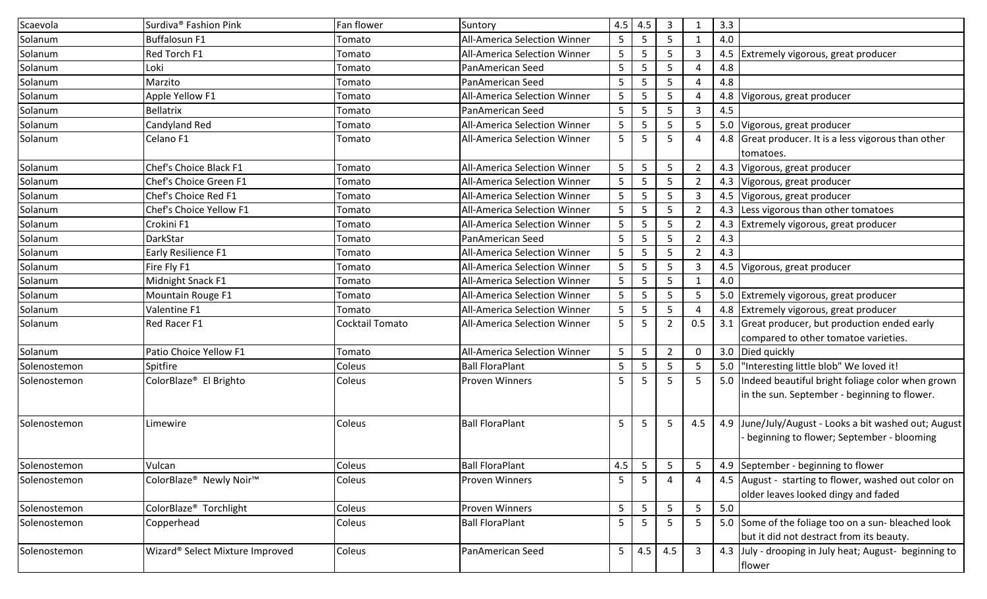| Scaevola     | Surdiva <sup>®</sup> Fashion Pink   | Fan flower      | Suntory                             | 4.5 | 4.5             | $\overline{3}$ |                | 3.3 |                                                                                                    |
|--------------|-------------------------------------|-----------------|-------------------------------------|-----|-----------------|----------------|----------------|-----|----------------------------------------------------------------------------------------------------|
| Solanum      | <b>Buffalosun F1</b>                | Tomato          | All-America Selection Winner        | 5   | 5               | -5             |                | 4.0 |                                                                                                    |
| Solanum      | Red Torch F1                        | Tomato          | <b>All-America Selection Winner</b> | 5   | -5              | 5              | 3              |     | 4.5 Extremely vigorous, great producer                                                             |
| Solanum      | Loki                                | Tomato          | PanAmerican Seed                    | 5   | -5              | 5              |                | 4.8 |                                                                                                    |
| Solanum      | Marzito                             | Tomato          | PanAmerican Seed                    | 5   | 5               | 5              |                | 4.8 |                                                                                                    |
| Solanum      | Apple Yellow F1                     | Tomato          | All-America Selection Winner        | 5   | -5              | 5              |                |     | 4.8 Vigorous, great producer                                                                       |
| Solanum      | <b>Bellatrix</b>                    | Tomato          | PanAmerican Seed                    | 5   | 5               | 5              | 3              | 4.5 |                                                                                                    |
| Solanum      | Candyland Red                       | Tomato          | All-America Selection Winner        | 5   | -5              | .5             | 5              |     | 5.0 Vigorous, great producer                                                                       |
| Solanum      | Celano F1                           | Tomato          | All-America Selection Winner        | 5   | 5               | 5              | 4              |     | 4.8 Great producer. It is a less vigorous than other<br>tomatoes.                                  |
| Solanum      | Chef's Choice Black F1              | Tomato          | All-America Selection Winner        | 5   | 5               | 5              | 2              |     | 4.3 Vigorous, great producer                                                                       |
| Solanum      | Chef's Choice Green F1              | Tomato          | All-America Selection Winner        | 5   | -5              | 5              | 2              |     | 4.3 Vigorous, great producer                                                                       |
| Solanum      | Chef's Choice Red F1                | Tomato          | All-America Selection Winner        | 5   | 5               | 5              | 3              |     | 4.5 Vigorous, great producer                                                                       |
| Solanum      | Chef's Choice Yellow F1             | Tomato          | All-America Selection Winner        | 5   | 5               | 5              | 2              |     | 4.3 Less vigorous than other tomatoes                                                              |
| Solanum      | Crokini F1                          | Tomato          | All-America Selection Winner        | 5   | 5               | 5              | $\mathcal{P}$  |     | 4.3 Extremely vigorous, great producer                                                             |
| Solanum      | <b>DarkStar</b>                     | Tomato          | PanAmerican Seed                    | 5   | -5              | -5             | $\overline{2}$ | 4.3 |                                                                                                    |
| Solanum      | Early Resilience F1                 | Tomato          | All-America Selection Winner        | 5   | 5               | 5              | 2              | 4.3 |                                                                                                    |
| Solanum      | Fire Fly F1                         | Tomato          | All-America Selection Winner        | 5   | 5               | 5              | 3              |     | 4.5 Vigorous, great producer                                                                       |
| Solanum      | Midnight Snack F1                   | Tomato          | All-America Selection Winner        | 5   | 5               | 5              |                | 4.0 |                                                                                                    |
| Solanum      | Mountain Rouge F1                   | Tomato          | All-America Selection Winner        | 5   | 5               | 5              | 5              |     | 5.0 Extremely vigorous, great producer                                                             |
| Solanum      | Valentine F1                        | Tomato          | All-America Selection Winner        | 5   | -5              | 5              |                |     | 4.8 Extremely vigorous, great producer                                                             |
| Solanum      | Red Racer F1                        | Cocktail Tomato | All-America Selection Winner        | 5   | -5              | $\overline{2}$ | 0.5            |     | 3.1 Great producer, but production ended early<br>compared to other tomatoe varieties.             |
| Solanum      | Patio Choice Yellow F1              | Tomato          | <b>All-America Selection Winner</b> | 5   | 5               | $\overline{2}$ | $\Omega$       |     | 3.0 Died quickly                                                                                   |
| Solenostemon | Spitfire                            | Coleus          | <b>Ball FloraPlant</b>              | 5   | -5              | 5              | -5             |     | 5.0  "Interesting little blob" We loved it!                                                        |
| Solenostemon | ColorBlaze <sup>®</sup> El Brighto  | Coleus          | <b>Proven Winners</b>               | 5   | 5               | 5              | -5             |     | 5.0 Indeed beautiful bright foliage color when grown                                               |
|              |                                     |                 |                                     |     |                 |                |                |     | in the sun. September - beginning to flower.                                                       |
| Solenostemon | Limewire                            | Coleus          | <b>Ball FloraPlant</b>              | 5   | 5               | 5              | 4.5            |     | 4.9 June/July/August - Looks a bit washed out; August<br>beginning to flower; September - blooming |
| Solenostemon | Vulcan                              | Coleus          | <b>Ball FloraPlant</b>              | 4.5 | $5\phantom{.0}$ | 5              | 5              |     | 4.9 September - beginning to flower                                                                |
| Solenostemon | ColorBlaze® Newly Noir <sup>™</sup> | Coleus          | Proven Winners                      | 5   | 5               | 4              | 4              |     | 4.5 August - starting to flower, washed out color on<br>older leaves looked dingy and faded        |
| Solenostemon | ColorBlaze <sup>®</sup> Torchlight  | Coleus          | Proven Winners                      | 5   | $5\phantom{.0}$ | 5              | 5              | 5.0 |                                                                                                    |
| Solenostemon | Copperhead                          | Coleus          | <b>Ball FloraPlant</b>              | 5   | 5               | 5              | -5             |     | 5.0 Some of the foliage too on a sun- bleached look<br>but it did not destract from its beauty.    |
| Solenostemon | Wizard® Select Mixture Improved     | Coleus          | PanAmerican Seed                    | 5   | 4.5             | 4.5            | $\overline{3}$ |     | 4.3 July - drooping in July heat; August- beginning to<br>flower                                   |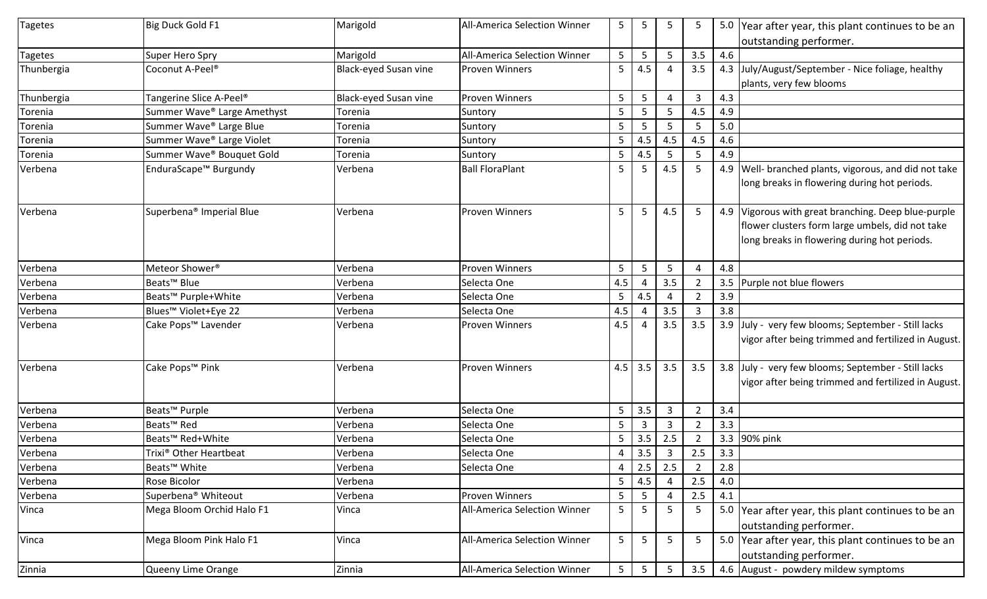| outstanding performer.<br>4.6<br>5<br>5<br>5<br>3.5<br>Marigold<br><b>All-America Selection Winner</b><br>Super Hero Spry<br>5<br>4.5<br>4.3 July/August/September - Nice foliage, healthy<br>Black-eyed Susan vine<br>3.5<br>Coconut A-Peel <sup>®</sup><br><b>Proven Winners</b><br>plants, very few blooms<br>5<br>5<br>Tangerine Slice A-Peel <sup>®</sup><br><b>Black-eyed Susan vine</b><br><b>Proven Winners</b><br>4.3<br>3<br>$\boldsymbol{\Delta}$<br>4.9<br>Summer Wave® Large Amethyst<br>5<br>4.5<br>Torenia<br>Suntory<br>Summer Wave® Large Blue<br>5<br>5<br>5.0<br>Suntory<br>5<br>5<br>Torenia<br>5<br>4.5<br>Summer Wave® Large Violet<br>4.5<br>4.5<br>4.6<br>Suntory<br>Torenia<br>Summer Wave® Bouquet Gold<br>5<br>4.5<br>4.9<br>5<br>-5<br>Suntory<br>Torenia<br>EnduraScape <sup>™</sup> Burgundy<br>4.5<br>4.9   Well- branched plants, vigorous, and did not take<br>Verbena<br><b>Ball FloraPlant</b><br>5<br>5<br>5<br>long breaks in flowering during hot periods.<br>Superbena <sup>®</sup> Imperial Blue<br>Verbena<br><b>Proven Winners</b><br>5<br>4.5<br>5<br>4.9 Vigorous with great branching. Deep blue-purple<br>-5<br>flower clusters form large umbels, did not take<br>long breaks in flowering during hot periods.<br>Meteor Shower <sup>®</sup><br>Verbena<br>5<br>5<br>4.8<br><b>Proven Winners</b><br>5<br>Δ<br>Beats <sup>™</sup> Blue<br>3.5<br>4.5<br>3.5 Purple not blue flowers<br>Verbena<br>Selecta One<br>Beats <sup>™</sup> Purple+White<br>5<br>4.5<br>3.9<br>Verbena<br>Selecta One<br>$\boldsymbol{\Delta}$<br>$\overline{2}$<br>3.8<br>4.5<br>3.5<br>Blues <sup>™</sup> Violet+Eye 22<br>Verbena<br>3<br>Selecta One<br>Cake Pops <sup>™</sup> Lavender<br>4.5<br>3.5<br>3.9 July - very few blooms; September - Still lacks<br>Verbena<br><b>Proven Winners</b><br>3.5<br>vigor after being trimmed and fertilized in August.<br>$4.5$ 3.5<br>Cake Pops <sup>™</sup> Pink<br>3.5<br>3.5<br>3.8 July - very few blooms; September - Still lacks<br>Verbena<br><b>Proven Winners</b><br>vigor after being trimmed and fertilized in August.<br>5<br>3.5<br>$\mathbf{3}$<br>Beats <sup>™</sup> Purple<br>Verbena<br>3.4<br>Selecta One<br>$\overline{2}$<br>5<br>3.3<br>Beats <sup>™</sup> Red<br>Verbena<br>$\overline{3}$<br>Selecta One<br>3<br>2 | <b>Tagetes</b> | Big Duck Gold F1             | Marigold | <b>All-America Selection Winner</b> | 5 | 5   | 5     | 5 | 5.0 Year after year, this plant continues to be an |
|---------------------------------------------------------------------------------------------------------------------------------------------------------------------------------------------------------------------------------------------------------------------------------------------------------------------------------------------------------------------------------------------------------------------------------------------------------------------------------------------------------------------------------------------------------------------------------------------------------------------------------------------------------------------------------------------------------------------------------------------------------------------------------------------------------------------------------------------------------------------------------------------------------------------------------------------------------------------------------------------------------------------------------------------------------------------------------------------------------------------------------------------------------------------------------------------------------------------------------------------------------------------------------------------------------------------------------------------------------------------------------------------------------------------------------------------------------------------------------------------------------------------------------------------------------------------------------------------------------------------------------------------------------------------------------------------------------------------------------------------------------------------------------------------------------------------------------------------------------------------------------------------------------------------------------------------------------------------------------------------------------------------------------------------------------------------------------------------------------------------------------------------------------------------------------------------------------------------------------------------------------------------------------------------------------------|----------------|------------------------------|----------|-------------------------------------|---|-----|-------|---|----------------------------------------------------|
|                                                                                                                                                                                                                                                                                                                                                                                                                                                                                                                                                                                                                                                                                                                                                                                                                                                                                                                                                                                                                                                                                                                                                                                                                                                                                                                                                                                                                                                                                                                                                                                                                                                                                                                                                                                                                                                                                                                                                                                                                                                                                                                                                                                                                                                                                                               |                |                              |          |                                     |   |     |       |   |                                                    |
|                                                                                                                                                                                                                                                                                                                                                                                                                                                                                                                                                                                                                                                                                                                                                                                                                                                                                                                                                                                                                                                                                                                                                                                                                                                                                                                                                                                                                                                                                                                                                                                                                                                                                                                                                                                                                                                                                                                                                                                                                                                                                                                                                                                                                                                                                                               | <b>Tagetes</b> |                              |          |                                     |   |     |       |   |                                                    |
|                                                                                                                                                                                                                                                                                                                                                                                                                                                                                                                                                                                                                                                                                                                                                                                                                                                                                                                                                                                                                                                                                                                                                                                                                                                                                                                                                                                                                                                                                                                                                                                                                                                                                                                                                                                                                                                                                                                                                                                                                                                                                                                                                                                                                                                                                                               | Thunbergia     |                              |          |                                     |   |     |       |   |                                                    |
|                                                                                                                                                                                                                                                                                                                                                                                                                                                                                                                                                                                                                                                                                                                                                                                                                                                                                                                                                                                                                                                                                                                                                                                                                                                                                                                                                                                                                                                                                                                                                                                                                                                                                                                                                                                                                                                                                                                                                                                                                                                                                                                                                                                                                                                                                                               |                |                              |          |                                     |   |     |       |   |                                                    |
|                                                                                                                                                                                                                                                                                                                                                                                                                                                                                                                                                                                                                                                                                                                                                                                                                                                                                                                                                                                                                                                                                                                                                                                                                                                                                                                                                                                                                                                                                                                                                                                                                                                                                                                                                                                                                                                                                                                                                                                                                                                                                                                                                                                                                                                                                                               | Thunbergia     |                              |          |                                     |   |     |       |   |                                                    |
|                                                                                                                                                                                                                                                                                                                                                                                                                                                                                                                                                                                                                                                                                                                                                                                                                                                                                                                                                                                                                                                                                                                                                                                                                                                                                                                                                                                                                                                                                                                                                                                                                                                                                                                                                                                                                                                                                                                                                                                                                                                                                                                                                                                                                                                                                                               | Torenia        |                              |          |                                     |   |     |       |   |                                                    |
|                                                                                                                                                                                                                                                                                                                                                                                                                                                                                                                                                                                                                                                                                                                                                                                                                                                                                                                                                                                                                                                                                                                                                                                                                                                                                                                                                                                                                                                                                                                                                                                                                                                                                                                                                                                                                                                                                                                                                                                                                                                                                                                                                                                                                                                                                                               | Torenia        |                              |          |                                     |   |     |       |   |                                                    |
|                                                                                                                                                                                                                                                                                                                                                                                                                                                                                                                                                                                                                                                                                                                                                                                                                                                                                                                                                                                                                                                                                                                                                                                                                                                                                                                                                                                                                                                                                                                                                                                                                                                                                                                                                                                                                                                                                                                                                                                                                                                                                                                                                                                                                                                                                                               | Torenia        |                              |          |                                     |   |     |       |   |                                                    |
|                                                                                                                                                                                                                                                                                                                                                                                                                                                                                                                                                                                                                                                                                                                                                                                                                                                                                                                                                                                                                                                                                                                                                                                                                                                                                                                                                                                                                                                                                                                                                                                                                                                                                                                                                                                                                                                                                                                                                                                                                                                                                                                                                                                                                                                                                                               | Torenia        |                              |          |                                     |   |     |       |   |                                                    |
|                                                                                                                                                                                                                                                                                                                                                                                                                                                                                                                                                                                                                                                                                                                                                                                                                                                                                                                                                                                                                                                                                                                                                                                                                                                                                                                                                                                                                                                                                                                                                                                                                                                                                                                                                                                                                                                                                                                                                                                                                                                                                                                                                                                                                                                                                                               | Verbena        |                              |          |                                     |   |     |       |   |                                                    |
|                                                                                                                                                                                                                                                                                                                                                                                                                                                                                                                                                                                                                                                                                                                                                                                                                                                                                                                                                                                                                                                                                                                                                                                                                                                                                                                                                                                                                                                                                                                                                                                                                                                                                                                                                                                                                                                                                                                                                                                                                                                                                                                                                                                                                                                                                                               |                |                              |          |                                     |   |     |       |   |                                                    |
|                                                                                                                                                                                                                                                                                                                                                                                                                                                                                                                                                                                                                                                                                                                                                                                                                                                                                                                                                                                                                                                                                                                                                                                                                                                                                                                                                                                                                                                                                                                                                                                                                                                                                                                                                                                                                                                                                                                                                                                                                                                                                                                                                                                                                                                                                                               |                |                              |          |                                     |   |     |       |   |                                                    |
|                                                                                                                                                                                                                                                                                                                                                                                                                                                                                                                                                                                                                                                                                                                                                                                                                                                                                                                                                                                                                                                                                                                                                                                                                                                                                                                                                                                                                                                                                                                                                                                                                                                                                                                                                                                                                                                                                                                                                                                                                                                                                                                                                                                                                                                                                                               | Verbena        |                              |          |                                     |   |     |       |   |                                                    |
|                                                                                                                                                                                                                                                                                                                                                                                                                                                                                                                                                                                                                                                                                                                                                                                                                                                                                                                                                                                                                                                                                                                                                                                                                                                                                                                                                                                                                                                                                                                                                                                                                                                                                                                                                                                                                                                                                                                                                                                                                                                                                                                                                                                                                                                                                                               |                |                              |          |                                     |   |     |       |   |                                                    |
|                                                                                                                                                                                                                                                                                                                                                                                                                                                                                                                                                                                                                                                                                                                                                                                                                                                                                                                                                                                                                                                                                                                                                                                                                                                                                                                                                                                                                                                                                                                                                                                                                                                                                                                                                                                                                                                                                                                                                                                                                                                                                                                                                                                                                                                                                                               |                |                              |          |                                     |   |     |       |   |                                                    |
|                                                                                                                                                                                                                                                                                                                                                                                                                                                                                                                                                                                                                                                                                                                                                                                                                                                                                                                                                                                                                                                                                                                                                                                                                                                                                                                                                                                                                                                                                                                                                                                                                                                                                                                                                                                                                                                                                                                                                                                                                                                                                                                                                                                                                                                                                                               |                |                              |          |                                     |   |     |       |   |                                                    |
|                                                                                                                                                                                                                                                                                                                                                                                                                                                                                                                                                                                                                                                                                                                                                                                                                                                                                                                                                                                                                                                                                                                                                                                                                                                                                                                                                                                                                                                                                                                                                                                                                                                                                                                                                                                                                                                                                                                                                                                                                                                                                                                                                                                                                                                                                                               | Verbena        |                              |          |                                     |   |     |       |   |                                                    |
|                                                                                                                                                                                                                                                                                                                                                                                                                                                                                                                                                                                                                                                                                                                                                                                                                                                                                                                                                                                                                                                                                                                                                                                                                                                                                                                                                                                                                                                                                                                                                                                                                                                                                                                                                                                                                                                                                                                                                                                                                                                                                                                                                                                                                                                                                                               | Verbena        |                              |          |                                     |   |     |       |   |                                                    |
|                                                                                                                                                                                                                                                                                                                                                                                                                                                                                                                                                                                                                                                                                                                                                                                                                                                                                                                                                                                                                                                                                                                                                                                                                                                                                                                                                                                                                                                                                                                                                                                                                                                                                                                                                                                                                                                                                                                                                                                                                                                                                                                                                                                                                                                                                                               | Verbena        |                              |          |                                     |   |     |       |   |                                                    |
|                                                                                                                                                                                                                                                                                                                                                                                                                                                                                                                                                                                                                                                                                                                                                                                                                                                                                                                                                                                                                                                                                                                                                                                                                                                                                                                                                                                                                                                                                                                                                                                                                                                                                                                                                                                                                                                                                                                                                                                                                                                                                                                                                                                                                                                                                                               | Verbena        |                              |          |                                     |   |     |       |   |                                                    |
|                                                                                                                                                                                                                                                                                                                                                                                                                                                                                                                                                                                                                                                                                                                                                                                                                                                                                                                                                                                                                                                                                                                                                                                                                                                                                                                                                                                                                                                                                                                                                                                                                                                                                                                                                                                                                                                                                                                                                                                                                                                                                                                                                                                                                                                                                                               | Verbena        |                              |          |                                     |   |     |       |   |                                                    |
|                                                                                                                                                                                                                                                                                                                                                                                                                                                                                                                                                                                                                                                                                                                                                                                                                                                                                                                                                                                                                                                                                                                                                                                                                                                                                                                                                                                                                                                                                                                                                                                                                                                                                                                                                                                                                                                                                                                                                                                                                                                                                                                                                                                                                                                                                                               |                |                              |          |                                     |   |     |       |   |                                                    |
|                                                                                                                                                                                                                                                                                                                                                                                                                                                                                                                                                                                                                                                                                                                                                                                                                                                                                                                                                                                                                                                                                                                                                                                                                                                                                                                                                                                                                                                                                                                                                                                                                                                                                                                                                                                                                                                                                                                                                                                                                                                                                                                                                                                                                                                                                                               |                |                              |          |                                     |   |     |       |   |                                                    |
|                                                                                                                                                                                                                                                                                                                                                                                                                                                                                                                                                                                                                                                                                                                                                                                                                                                                                                                                                                                                                                                                                                                                                                                                                                                                                                                                                                                                                                                                                                                                                                                                                                                                                                                                                                                                                                                                                                                                                                                                                                                                                                                                                                                                                                                                                                               | Verbena        |                              |          |                                     |   |     |       |   |                                                    |
|                                                                                                                                                                                                                                                                                                                                                                                                                                                                                                                                                                                                                                                                                                                                                                                                                                                                                                                                                                                                                                                                                                                                                                                                                                                                                                                                                                                                                                                                                                                                                                                                                                                                                                                                                                                                                                                                                                                                                                                                                                                                                                                                                                                                                                                                                                               |                |                              |          |                                     |   |     |       |   |                                                    |
|                                                                                                                                                                                                                                                                                                                                                                                                                                                                                                                                                                                                                                                                                                                                                                                                                                                                                                                                                                                                                                                                                                                                                                                                                                                                                                                                                                                                                                                                                                                                                                                                                                                                                                                                                                                                                                                                                                                                                                                                                                                                                                                                                                                                                                                                                                               |                |                              |          |                                     |   |     |       |   |                                                    |
|                                                                                                                                                                                                                                                                                                                                                                                                                                                                                                                                                                                                                                                                                                                                                                                                                                                                                                                                                                                                                                                                                                                                                                                                                                                                                                                                                                                                                                                                                                                                                                                                                                                                                                                                                                                                                                                                                                                                                                                                                                                                                                                                                                                                                                                                                                               | Verbena        |                              |          |                                     |   |     |       |   |                                                    |
|                                                                                                                                                                                                                                                                                                                                                                                                                                                                                                                                                                                                                                                                                                                                                                                                                                                                                                                                                                                                                                                                                                                                                                                                                                                                                                                                                                                                                                                                                                                                                                                                                                                                                                                                                                                                                                                                                                                                                                                                                                                                                                                                                                                                                                                                                                               | Verbena        |                              |          |                                     |   |     |       |   |                                                    |
|                                                                                                                                                                                                                                                                                                                                                                                                                                                                                                                                                                                                                                                                                                                                                                                                                                                                                                                                                                                                                                                                                                                                                                                                                                                                                                                                                                                                                                                                                                                                                                                                                                                                                                                                                                                                                                                                                                                                                                                                                                                                                                                                                                                                                                                                                                               | Verbena        | Beats <sup>™</sup> Red+White | Verbena  | Selecta One                         | 5 | 3.5 | $2.5$ |   | 3.3 90% pink                                       |
| 3.5<br>3.3<br>$\overline{3}$<br>2.5<br>Verbena<br>4<br>Trixi <sup>®</sup> Other Heartbeat<br>Selecta One                                                                                                                                                                                                                                                                                                                                                                                                                                                                                                                                                                                                                                                                                                                                                                                                                                                                                                                                                                                                                                                                                                                                                                                                                                                                                                                                                                                                                                                                                                                                                                                                                                                                                                                                                                                                                                                                                                                                                                                                                                                                                                                                                                                                      | Verbena        |                              |          |                                     |   |     |       |   |                                                    |
| $2.5$<br>Beats <sup>™</sup> White<br>Verbena<br>2.5<br>Selecta One<br>2.8<br>4<br>$\overline{2}$                                                                                                                                                                                                                                                                                                                                                                                                                                                                                                                                                                                                                                                                                                                                                                                                                                                                                                                                                                                                                                                                                                                                                                                                                                                                                                                                                                                                                                                                                                                                                                                                                                                                                                                                                                                                                                                                                                                                                                                                                                                                                                                                                                                                              | Verbena        |                              |          |                                     |   |     |       |   |                                                    |
| 4.5<br>2.5<br>Verbena<br>5<br>Rose Bicolor<br>4.0                                                                                                                                                                                                                                                                                                                                                                                                                                                                                                                                                                                                                                                                                                                                                                                                                                                                                                                                                                                                                                                                                                                                                                                                                                                                                                                                                                                                                                                                                                                                                                                                                                                                                                                                                                                                                                                                                                                                                                                                                                                                                                                                                                                                                                                             | Verbena        |                              |          |                                     |   |     |       |   |                                                    |
| Superbena <sup>®</sup> Whiteout<br>5<br>2.5<br>Verbena<br>Proven Winners<br>5<br>4.1<br>4                                                                                                                                                                                                                                                                                                                                                                                                                                                                                                                                                                                                                                                                                                                                                                                                                                                                                                                                                                                                                                                                                                                                                                                                                                                                                                                                                                                                                                                                                                                                                                                                                                                                                                                                                                                                                                                                                                                                                                                                                                                                                                                                                                                                                     | Verbena        |                              |          |                                     |   |     |       |   |                                                    |
| 5<br>Mega Bloom Orchid Halo F1<br>Vinca<br>All-America Selection Winner<br>5<br>-5<br>5.0 Year after year, this plant continues to be an<br>-5                                                                                                                                                                                                                                                                                                                                                                                                                                                                                                                                                                                                                                                                                                                                                                                                                                                                                                                                                                                                                                                                                                                                                                                                                                                                                                                                                                                                                                                                                                                                                                                                                                                                                                                                                                                                                                                                                                                                                                                                                                                                                                                                                                | Vinca          |                              |          |                                     |   |     |       |   |                                                    |
| outstanding performer.                                                                                                                                                                                                                                                                                                                                                                                                                                                                                                                                                                                                                                                                                                                                                                                                                                                                                                                                                                                                                                                                                                                                                                                                                                                                                                                                                                                                                                                                                                                                                                                                                                                                                                                                                                                                                                                                                                                                                                                                                                                                                                                                                                                                                                                                                        |                |                              |          |                                     |   |     |       |   |                                                    |
| 5<br>Mega Bloom Pink Halo F1<br>Vinca<br>All-America Selection Winner<br>5<br>5<br>5<br>5.0 Year after year, this plant continues to be an                                                                                                                                                                                                                                                                                                                                                                                                                                                                                                                                                                                                                                                                                                                                                                                                                                                                                                                                                                                                                                                                                                                                                                                                                                                                                                                                                                                                                                                                                                                                                                                                                                                                                                                                                                                                                                                                                                                                                                                                                                                                                                                                                                    | Vinca          |                              |          |                                     |   |     |       |   |                                                    |
| outstanding performer.                                                                                                                                                                                                                                                                                                                                                                                                                                                                                                                                                                                                                                                                                                                                                                                                                                                                                                                                                                                                                                                                                                                                                                                                                                                                                                                                                                                                                                                                                                                                                                                                                                                                                                                                                                                                                                                                                                                                                                                                                                                                                                                                                                                                                                                                                        |                |                              |          |                                     |   |     |       |   |                                                    |
| Zinnia<br>5<br>3.5<br>4.6 August - powdery mildew symptoms<br>All-America Selection Winner<br>5<br>5<br>Queeny Lime Orange                                                                                                                                                                                                                                                                                                                                                                                                                                                                                                                                                                                                                                                                                                                                                                                                                                                                                                                                                                                                                                                                                                                                                                                                                                                                                                                                                                                                                                                                                                                                                                                                                                                                                                                                                                                                                                                                                                                                                                                                                                                                                                                                                                                    | Zinnia         |                              |          |                                     |   |     |       |   |                                                    |